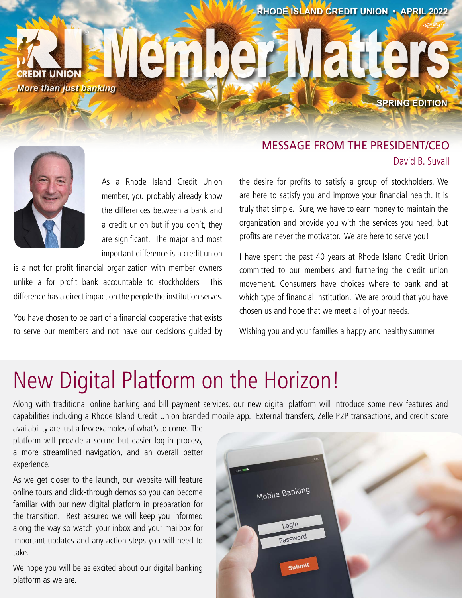**RHODE ISLAND CREDIT UNION • APRIL 2022**

® **CREDIT UNION** *More than just banking*



As a Rhode Island Credit Union member, you probably already know the differences between a bank and a credit union but if you don't, they are significant. The major and most important difference is a credit union

is a not for profit financial organization with member owners unlike a for profit bank accountable to stockholders. This difference has a direct impact on the people the institution serves.

You have chosen to be part of a financial cooperative that exists to serve our members and not have our decisions guided by

## MESSAGE FROM THE PRESIDENT/CEO David B. Suvall

**SPRING EDITION**

anek

the desire for profits to satisfy a group of stockholders. We are here to satisfy you and improve your financial health. It is truly that simple. Sure, we have to earn money to maintain the organization and provide you with the services you need, but profits are never the motivator. We are here to serve you!

I have spent the past 40 years at Rhode Island Credit Union committed to our members and furthering the credit union movement. Consumers have choices where to bank and at which type of financial institution. We are proud that you have chosen us and hope that we meet all of your needs.

Wishing you and your families a happy and healthy summer!

# New Digital Platform on the Horizon!

Along with traditional online banking and bill payment services, our new digital platform will introduce some new features and capabilities including a Rhode Island Credit Union branded mobile app. External transfers, Zelle P2P transactions, and credit score

availability are just a few examples of what's to come. The platform will provide a secure but easier log-in process, a more streamlined navigation, and an overall better experience.

As we get closer to the launch, our website will feature online tours and click-through demos so you can become familiar with our new digital platform in preparation for the transition. Rest assured we will keep you informed along the way so watch your inbox and your mailbox for important updates and any action steps you will need to take.

We hope you will be as excited about our digital banking platform as we are.

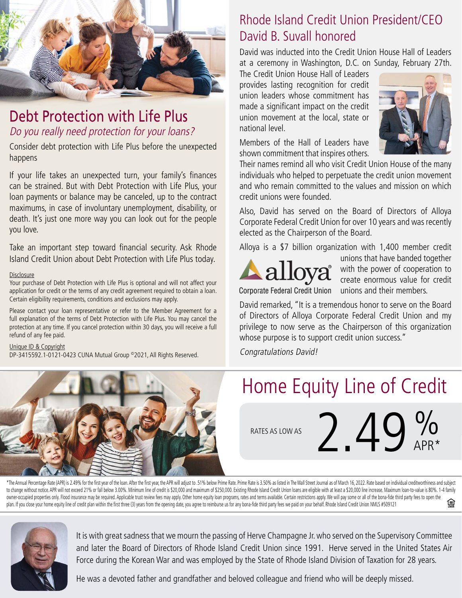

# Debt Protection with Life Plus Do you really need protection for your loans?

Consider debt protection with Life Plus before the unexpected happens

If your life takes an unexpected turn, your family's finances can be strained. But with Debt Protection with Life Plus, your loan payments or balance may be canceled, up to the contract maximums, in case of involuntary unemployment, disability, or death. It's just one more way you can look out for the people you love.

Take an important step toward financial security. Ask Rhode Island Credit Union about Debt Protection with Life Plus today.

#### **Disclosure**

Your purchase of Debt Protection with Life Plus is optional and will not affect your application for credit or the terms of any credit agreement required to obtain a loan. Certain eligibility requirements, conditions and exclusions may apply.

Please contact your loan representative or refer to the Member Agreement for a full explanation of the terms of Debt Protection with Life Plus. You may cancel the protection at any time. If you cancel protection within 30 days, you will receive a full refund of any fee paid.

#### Unique ID & Copyright

DP-3415592.1-0121-0423 CUNA Mutual Group ©2021, All Rights Reserved.

# Rhode Island Credit Union President/CEO David B. Suvall honored

David was inducted into the Credit Union House Hall of Leaders at a ceremony in Washington, D.C. on Sunday, February 27th.

The Credit Union House Hall of Leaders provides lasting recognition for credit union leaders whose commitment has made a significant impact on the credit union movement at the local, state or national level.



Members of the Hall of Leaders have shown commitment that inspires others.

Their names remind all who visit Credit Union House of the many individuals who helped to perpetuate the credit union movement and who remain committed to the values and mission on which credit unions were founded.

Also, David has served on the Board of Directors of Alloya Corporate Federal Credit Union for over 10 years and was recently elected as the Chairperson of the Board.

Alloya is a \$7 billion organization with 1,400 member credit



unions that have banded together with the power of cooperation to create enormous value for credit Corporate Federal Credit Union unions and their members.

David remarked, "It is a tremendous honor to serve on the Board of Directors of Alloya Corporate Federal Credit Union and my privilege to now serve as the Chairperson of this organization whose purpose is to support credit union success."

Congratulations David!



# Home Equity Line of Credit

RATES AS LOW AS

2.49% APR\*

\*The Annual Percentage Rate (APR) is 2.49% for the first year of the loan. After the first year, the APR will adjust to .51% below Prime Rate. Prime Rate is 3.50% as listed in The Wall Street Journal as of March 16, 2022. to change without notice. APR will not exceed 21% or fall below 3.00%. Minimum line of credit is \$20,000 and maximum of \$250,000. Existing Rhode Island Credit Union loans are eligible with at least a \$20,000 line increase. owner-occupied properties only. Flood insurance may be required. Applicable trust review fees may apply. Other home equity loan programs, rates and terms available. Certain restrictions apply. We will pay some or all of th 鱼 plan. If you close your home equity line of credit plan within the first three (3) years from the opening date, you agree to reimburse us for any bona-fide third party fees we paid on your behalf. Rhode Island Credit Union



It is with great sadness that we mourn the passing of Herve Champagne Jr. who served on the Supervisory Committee and later the Board of Directors of Rhode Island Credit Union since 1991. Herve served in the United States Air Force during the Korean War and was employed by the State of Rhode Island Division of Taxation for 28 years.

He was a devoted father and grandfather and beloved colleague and friend who will be deeply missed.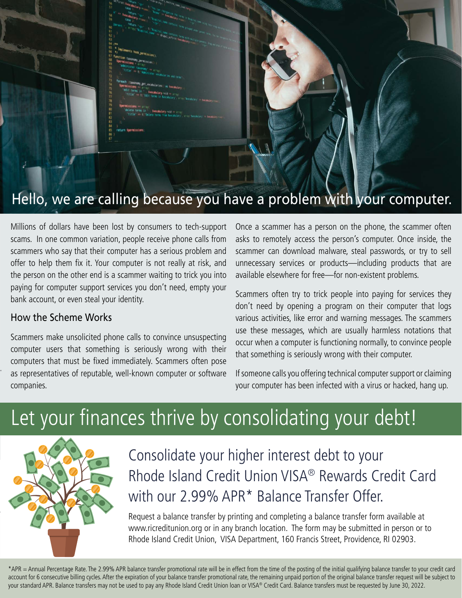

# Hello, we are calling because you have a problem with your computer.

Millions of dollars have been lost by consumers to tech-support scams. In one common variation, people receive phone calls from scammers who say that their computer has a serious problem and offer to help them fix it. Your computer is not really at risk, and the person on the other end is a scammer waiting to trick you into paying for computer support services you don't need, empty your bank account, or even steal your identity.

#### How the Scheme Works

Scammers make unsolicited phone calls to convince unsuspecting computer users that something is seriously wrong with their computers that must be fixed immediately. Scammers often pose as representatives of reputable, well-known computer or software companies.

Once a scammer has a person on the phone, the scammer often asks to remotely access the person's computer. Once inside, the scammer can download malware, steal passwords, or try to sell unnecessary services or products—including products that are available elsewhere for free—for non-existent problems.

Scammers often try to trick people into paying for services they don't need by opening a program on their computer that logs various activities, like error and warning messages. The scammers use these messages, which are usually harmless notations that occur when a computer is functioning normally, to convince people that something is seriously wrong with their computer.

If someone calls you offering technical computer support or claiming your computer has been infected with a virus or hacked, hang up.

# Let your finances thrive by consolidating your debt!



Consolidate your higher interest debt to your Rhode Island Credit Union VISA® Rewards Credit Card with our 2.99% APR\* Balance Transfer Offer.

Request a balance transfer by printing and completing a balance transfer form available at www.ricreditunion.org or in any branch location. The form may be submitted in person or to Rhode Island Credit Union, VISA Department, 160 Francis Street, Providence, RI 02903.

\*APR = Annual Percentage Rate. The 2.99% APR balance transfer promotional rate will be in effect from the time of the posting of the initial qualifying balance transfer to your credit card account for 6 consecutive billing cycles. After the expiration of your balance transfer promotional rate, the remaining unpaid portion of the original balance transfer request will be subject to your standard APR. Balance transfers may not be used to pay any Rhode Island Credit Union loan or VISA® Credit Card. Balance transfers must be requested by June 30, 2022.